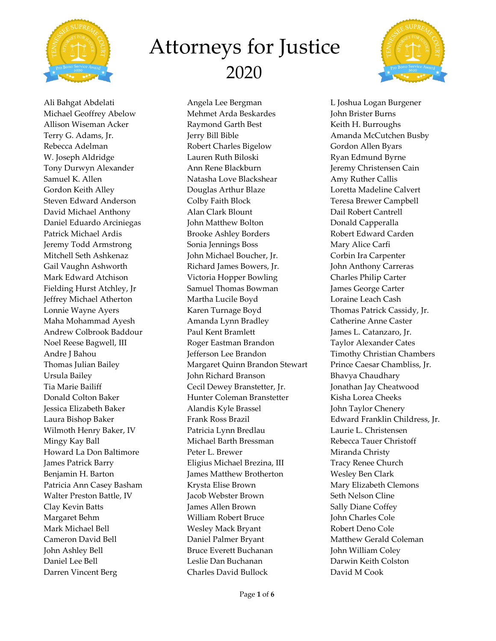



Ali Bahgat Abdelati Michael Geoffrey Abelow Allison Wiseman Acker Terry G. Adams, Jr. Rebecca Adelman W. Joseph Aldridge Tony Durwyn Alexander Samuel K. Allen Gordon Keith Alley Steven Edward Anderson David Michael Anthony Daniel Eduardo Arciniegas Patrick Michael Ardis Jeremy Todd Armstrong Mitchell Seth Ashkenaz Gail Vaughn Ashworth Mark Edward Atchison Fielding Hurst Atchley, Jr Jeffrey Michael Atherton Lonnie Wayne Ayers Maha Mohammad Ayesh Andrew Colbrook Baddour Noel Reese Bagwell, III Andre J Bahou Thomas Julian Bailey Ursula Bailey Tia Marie Bailiff Donald Colton Baker Jessica Elizabeth Baker Laura Bishop Baker Wilmoth Henry Baker, IV Mingy Kay Ball Howard La Don Baltimore James Patrick Barry Benjamin H. Barton Patricia Ann Casey Basham Walter Preston Battle, IV Clay Kevin Batts Margaret Behm Mark Michael Bell Cameron David Bell John Ashley Bell Daniel Lee Bell Darren Vincent Berg

Angela Lee Bergman Mehmet Arda Beskardes Raymond Garth Best Jerry Bill Bible Robert Charles Bigelow Lauren Ruth Biloski Ann Rene Blackburn Natasha Love Blackshear Douglas Arthur Blaze Colby Faith Block Alan Clark Blount John Matthew Bolton Brooke Ashley Borders Sonia Jennings Boss John Michael Boucher, Jr. Richard James Bowers, Jr. Victoria Hopper Bowling Samuel Thomas Bowman Martha Lucile Boyd Karen Turnage Boyd Amanda Lynn Bradley Paul Kent Bramlett Roger Eastman Brandon Jefferson Lee Brandon Margaret Quinn Brandon Stewart John Richard Branson Cecil Dewey Branstetter, Jr. Hunter Coleman Branstetter Alandis Kyle Brassel Frank Ross Brazil Patricia Lynn Bredlau Michael Barth Bressman Peter L. Brewer Eligius Michael Brezina, III James Matthew Brotherton Krysta Elise Brown Jacob Webster Brown James Allen Brown William Robert Bruce Wesley Mack Bryant Daniel Palmer Bryant Bruce Everett Buchanan Leslie Dan Buchanan Charles David Bullock

L Joshua Logan Burgener John Brister Burns Keith H. Burroughs Amanda McCutchen Busby Gordon Allen Byars Ryan Edmund Byrne Jeremy Christensen Cain Amy Ruther Callis Loretta Madeline Calvert Teresa Brewer Campbell Dail Robert Cantrell Donald Capperalla Robert Edward Carden Mary Alice Carfi Corbin Ira Carpenter John Anthony Carreras Charles Philip Carter James George Carter Loraine Leach Cash Thomas Patrick Cassidy, Jr. Catherine Anne Caster James L. Catanzaro, Jr. Taylor Alexander Cates Timothy Christian Chambers Prince Caesar Chambliss, Jr. Bhavya Chaudhary Jonathan Jay Cheatwood Kisha Lorea Cheeks John Taylor Chenery Edward Franklin Childress, Jr. Laurie L. Christensen Rebecca Tauer Christoff Miranda Christy Tracy Renee Church Wesley Ben Clark Mary Elizabeth Clemons Seth Nelson Cline Sally Diane Coffey John Charles Cole Robert Deno Cole Matthew Gerald Coleman John William Coley Darwin Keith Colston David M Cook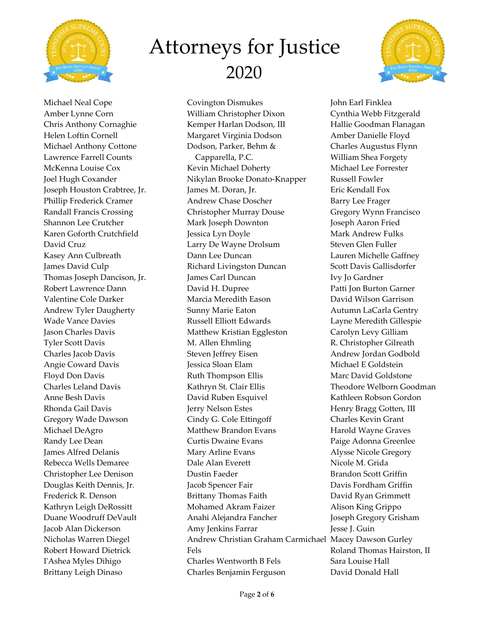



Michael Neal Cope Amber Lynne Corn Chris Anthony Cornaghie Helen Loftin Cornell Michael Anthony Cottone Lawrence Farrell Counts McKenna Louise Cox Joel Hugh Coxander Joseph Houston Crabtree, Jr. Phillip Frederick Cramer Randall Francis Crossing Shannon Lee Crutcher Karen Goforth Crutchfield David Cruz Kasey Ann Culbreath James David Culp Thomas Joseph Dancison, Jr. Robert Lawrence Dann Valentine Cole Darker Andrew Tyler Daugherty Wade Vance Davies Jason Charles Davis Tyler Scott Davis Charles Jacob Davis Angie Coward Davis Floyd Don Davis Charles Leland Davis Anne Besh Davis Rhonda Gail Davis Gregory Wade Dawson Michael DeAgro Randy Lee Dean James Alfred Delanis Rebecca Wells Demaree Christopher Lee Denison Douglas Keith Dennis, Jr. Frederick R. Denson Kathryn Leigh DeRossitt Duane Woodruff DeVault Jacob Alan Dickerson Nicholas Warren Diegel Robert Howard Dietrick I'Ashea Myles Dihigo Brittany Leigh Dinaso

Covington Dismukes William Christopher Dixon Kemper Harlan Dodson, III Margaret Virginia Dodson Dodson, Parker, Behm & Capparella, P.C. Kevin Michael Doherty Nikylan Brooke Donato-Knapper James M. Doran, Jr. Andrew Chase Doscher Christopher Murray Douse Mark Joseph Downton Jessica Lyn Doyle Larry De Wayne Drolsum Dann Lee Duncan Richard Livingston Duncan James Carl Duncan David H. Dupree Marcia Meredith Eason Sunny Marie Eaton Russell Elliott Edwards Matthew Kristian Eggleston M. Allen Ehmling Steven Jeffrey Eisen Jessica Sloan Elam Ruth Thompson Ellis Kathryn St. Clair Ellis David Ruben Esquivel Jerry Nelson Estes Cindy G. Cole Ettingoff Matthew Brandon Evans Curtis Dwaine Evans Mary Arline Evans Dale Alan Everett Dustin Faeder Jacob Spencer Fair Brittany Thomas Faith Mohamed Akram Faizer Anahi Alejandra Fancher Amy Jenkins Farrar Andrew Christian Graham Carmichael Macey Dawson Gurley Fels Charles Wentworth B Fels Charles Benjamin Ferguson

John Earl Finklea Cynthia Webb Fitzgerald Hallie Goodman Flanagan Amber Danielle Floyd Charles Augustus Flynn William Shea Forgety Michael Lee Forrester Russell Fowler Eric Kendall Fox Barry Lee Frager Gregory Wynn Francisco Joseph Aaron Fried Mark Andrew Fulks Steven Glen Fuller Lauren Michelle Gaffney Scott Davis Gallisdorfer Ivy Jo Gardner Patti Jon Burton Garner David Wilson Garrison Autumn LaCarla Gentry Layne Meredith Gillespie Carolyn Levy Gilliam R. Christopher Gilreath Andrew Jordan Godbold Michael E Goldstein Marc David Goldstone Theodore Welborn Goodman Kathleen Robson Gordon Henry Bragg Gotten, III Charles Kevin Grant Harold Wayne Graves Paige Adonna Greenlee Alysse Nicole Gregory Nicole M. Grida Brandon Scott Griffin Davis Fordham Griffin David Ryan Grimmett Alison King Grippo Joseph Gregory Grisham Jesse J. Guin Roland Thomas Hairston, II Sara Louise Hall David Donald Hall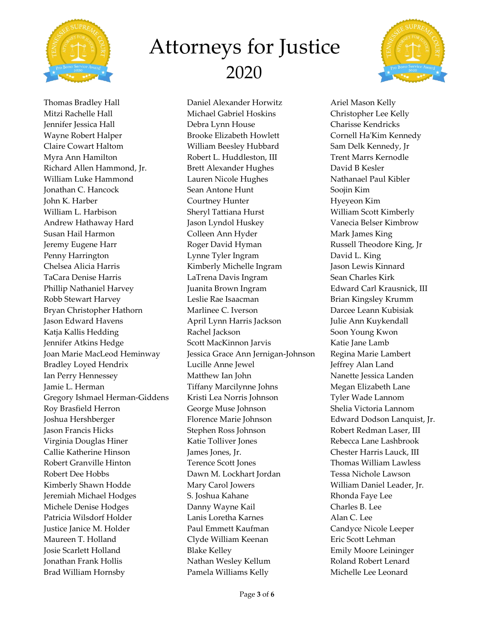



Thomas Bradley Hall Mitzi Rachelle Hall Jennifer Jessica Hall Wayne Robert Halper Claire Cowart Haltom Myra Ann Hamilton Richard Allen Hammond, Jr. William Luke Hammond Jonathan C. Hancock John K. Harber William L. Harbison Andrew Hathaway Hard Susan Hail Harmon Jeremy Eugene Harr Penny Harrington Chelsea Alicia Harris TaCara Denise Harris Phillip Nathaniel Harvey Robb Stewart Harvey Bryan Christopher Hathorn Jason Edward Havens Katja Kallis Hedding Jennifer Atkins Hedge Joan Marie MacLeod Heminway Bradley Loyed Hendrix Ian Perry Hennessey Jamie L. Herman Gregory Ishmael Herman-Giddens Roy Brasfield Herron Joshua Hershberger Jason Francis Hicks Virginia Douglas Hiner Callie Katherine Hinson Robert Granville Hinton Robert Dee Hobbs Kimberly Shawn Hodde Jeremiah Michael Hodges Michele Denise Hodges Patricia Wilsdorf Holder Justice Janice M. Holder Maureen T. Holland Josie Scarlett Holland Jonathan Frank Hollis Brad William Hornsby

Daniel Alexander Horwitz Michael Gabriel Hoskins Debra Lynn House Brooke Elizabeth Howlett William Beesley Hubbard Robert L. Huddleston, III Brett Alexander Hughes Lauren Nicole Hughes Sean Antone Hunt Courtney Hunter Sheryl Tattiana Hurst Jason Lyndol Huskey Colleen Ann Hyder Roger David Hyman Lynne Tyler Ingram Kimberly Michelle Ingram LaTrena Davis Ingram Juanita Brown Ingram Leslie Rae Isaacman Marlinee C. Iverson April Lynn Harris Jackson Rachel Jackson Scott MacKinnon Jarvis Jessica Grace Ann Jernigan-Johnson Lucille Anne Jewel Matthew Ian John Tiffany Marcilynne Johns Kristi Lea Norris Johnson George Muse Johnson Florence Marie Johnson Stephen Ross Johnson Katie Tolliver Jones James Jones, Jr. Terence Scott Jones Dawn M. Lockhart Jordan Mary Carol Jowers S. Joshua Kahane Danny Wayne Kail Lanis Loretha Karnes Paul Emmett Kaufman Clyde William Keenan Blake Kelley Nathan Wesley Kellum Pamela Williams Kelly

Ariel Mason Kelly Christopher Lee Kelly Charisse Kendricks Cornell Ha'Kim Kennedy Sam Delk Kennedy, Jr Trent Marrs Kernodle David B Kesler Nathanael Paul Kibler Soojin Kim Hyeyeon Kim William Scott Kimberly Vanecia Belser Kimbrow Mark James King Russell Theodore King, Jr David L. King Jason Lewis Kinnard Sean Charles Kirk Edward Carl Krausnick, III Brian Kingsley Krumm Darcee Leann Kubisiak Julie Ann Kuykendall Soon Young Kwon Katie Jane Lamb Regina Marie Lambert Jeffrey Alan Land Nanette Jessica Landen Megan Elizabeth Lane Tyler Wade Lannom Shelia Victoria Lannom Edward Dodson Lanquist, Jr. Robert Redman Laser, III Rebecca Lane Lashbrook Chester Harris Lauck, III Thomas William Lawless Tessa Nichole Lawson William Daniel Leader, Jr. Rhonda Faye Lee Charles B. Lee Alan C. Lee Candyce Nicole Leeper Eric Scott Lehman Emily Moore Leininger Roland Robert Lenard Michelle Lee Leonard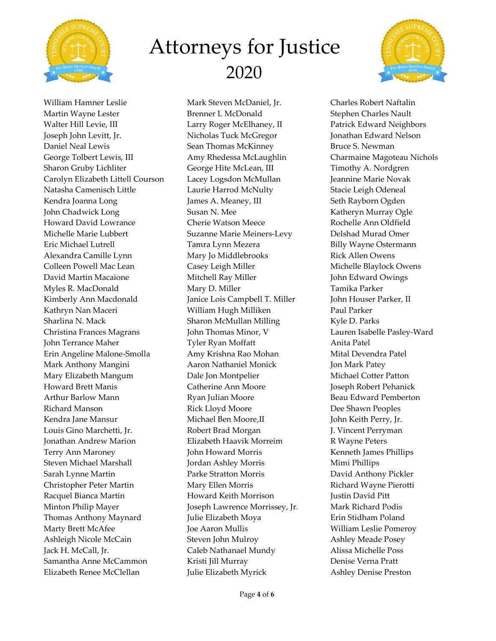



William Hamner Leslie Martin Wayne Lester Walter Hill Levie, III Joseph John Levitt, Jr. Daniel Neal Lewis George Tolbert Lewis, III Sharon Gruby Lichliter Carolyn Elizabeth Littell Courson Natasha Camenisch Little Kendra Joanna Long John Chadwick Long Howard David Lowrance Michelle Marie Lubbert Eric Michael Lutrell Alexandra Camille Lynn Colleen Powell Mac Lean David Martin Macaione Myles R. MacDonald Kimberly Ann Macdonald Kathryn Nan Maceri Sharlina N. Mack Christina Frances Magrans John Terrance Maher Erin Angeline Malone-Smolla Mark Anthony Mangini Mary Elizabeth Mangum Howard Brett Manis Arthur Barlow Mann Richard Manson Kendra Jane Mansur Louis Gino Marchetti, Jr. Jonathan Andrew Marion Terry Ann Maroney Steven Michael Marshall Sarah Lynne Martin Christopher Peter Martin Racquel Bianca Martin Minton Philip Mayer Thomas Anthony Maynard Marty Brett McAfee Ashleigh Nicole McCain Jack H. McCall, Jr. Samantha Anne McCammon Elizabeth Renee McClellan

Mark Steven McDaniel, Jr. Brenner L McDonald Larry Roger McElhaney, II Nicholas Tuck McGregor Sean Thomas McKinney Amy Rhedessa McLaughlin George Hite McLean, III Lacey Logsdon McMullan Laurie Harrod McNulty James A. Meaney, III Susan N. Mee Cherie Watson Meece Suzanne Marie Meiners-Levy Tamra Lynn Mezera Mary Jo Middlebrooks Casey Leigh Miller Mitchell Ray Miller Mary D. Miller Janice Lois Campbell T. Miller William Hugh Milliken Sharon McMullan Milling John Thomas Minor, V Tyler Ryan Moffatt Amy Krishna Rao Mohan Aaron Nathaniel Monick Dale Jon Montpelier Catherine Ann Moore Ryan Julian Moore Rick Lloyd Moore Michael Ben Moore,II Robert Brad Morgan Elizabeth Haavik Morreim John Howard Morris Jordan Ashley Morris Parke Stratton Morris Mary Ellen Morris Howard Keith Morrison Joseph Lawrence Morrissey, Jr. Julie Elizabeth Moya Joe Aaron Mullis Steven John Mulroy Caleb Nathanael Mundy Kristi Jill Murray Julie Elizabeth Myrick

Charles Robert Naftalin Stephen Charles Nault Patrick Edward Neighbors Jonathan Edward Nelson Bruce S. Newman Charmaine Magoteau Nichols Timothy A. Nordgren Jeannine Marie Novak Stacie Leigh Odeneal Seth Rayborn Ogden Katheryn Murray Ogle Rochelle Ann Oldfield Delshad Murad Omer Billy Wayne Ostermann Rick Allen Owens Michelle Blaylock Owens John Edward Owings Tamika Parker John Houser Parker, II Paul Parker Kyle D. Parks Lauren Isabelle Pasley-Ward Anita Patel Mital Devendra Patel Jon Mark Patey Michael Cotter Patton Joseph Robert Pehanick Beau Edward Pemberton Dee Shawn Peoples John Keith Perry, Jr. J. Vincent Perryman R Wayne Peters Kenneth James Phillips Mimi Phillips David Anthony Pickler Richard Wayne Pierotti Justin David Pitt Mark Richard Podis Erin Stidham Poland William Leslie Pomeroy Ashley Meade Posey Alissa Michelle Poss Denise Verna Pratt Ashley Denise Preston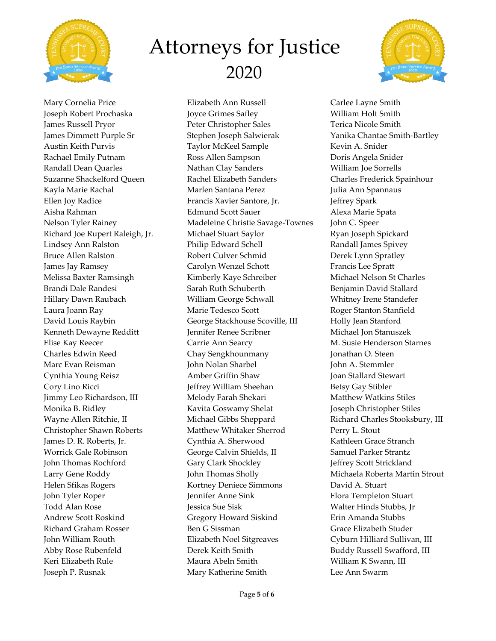



Mary Cornelia Price Joseph Robert Prochaska James Russell Pryor James Dimmett Purple Sr Austin Keith Purvis Rachael Emily Putnam Randall Dean Quarles Suzanne Shackelford Queen Kayla Marie Rachal Ellen Joy Radice Aisha Rahman Nelson Tyler Rainey Richard Joe Rupert Raleigh, Jr. Lindsey Ann Ralston Bruce Allen Ralston James Jay Ramsey Melissa Baxter Ramsingh Brandi Dale Randesi Hillary Dawn Raubach Laura Joann Ray David Louis Raybin Kenneth Dewayne Redditt Elise Kay Reecer Charles Edwin Reed Marc Evan Reisman Cynthia Young Reisz Cory Lino Ricci Jimmy Leo Richardson, III Monika B. Ridley Wayne Allen Ritchie, II Christopher Shawn Roberts James D. R. Roberts, Jr. Worrick Gale Robinson John Thomas Rochford Larry Gene Roddy Helen Sfikas Rogers John Tyler Roper Todd Alan Rose Andrew Scott Roskind Richard Graham Rosser John William Routh Abby Rose Rubenfeld Keri Elizabeth Rule Joseph P. Rusnak

Elizabeth Ann Russell Joyce Grimes Safley Peter Christopher Sales Stephen Joseph Salwierak Taylor McKeel Sample Ross Allen Sampson Nathan Clay Sanders Rachel Elizabeth Sanders Marlen Santana Perez Francis Xavier Santore, Jr. Edmund Scott Sauer Madeleine Christie Savage-Townes Michael Stuart Saylor Philip Edward Schell Robert Culver Schmid Carolyn Wenzel Schott Kimberly Kaye Schreiber Sarah Ruth Schuberth William George Schwall Marie Tedesco Scott George Stackhouse Scoville, III Jennifer Renee Scribner Carrie Ann Searcy Chay Sengkhounmany John Nolan Sharbel Amber Griffin Shaw Jeffrey William Sheehan Melody Farah Shekari Kavita Goswamy Shelat Michael Gibbs Sheppard Matthew Whitaker Sherrod Cynthia A. Sherwood George Calvin Shields, II Gary Clark Shockley John Thomas Sholly Kortney Deniece Simmons Jennifer Anne Sink Jessica Sue Sisk Gregory Howard Siskind Ben G Sissman Elizabeth Noel Sitgreaves Derek Keith Smith Maura Abeln Smith Mary Katherine Smith

Carlee Layne Smith William Holt Smith Terica Nicole Smith Yanika Chantae Smith-Bartley Kevin A. Snider Doris Angela Snider William Joe Sorrells Charles Frederick Spainhour Julia Ann Spannaus Jeffrey Spark Alexa Marie Spata John C. Speer Ryan Joseph Spickard Randall James Spivey Derek Lynn Spratley Francis Lee Spratt Michael Nelson St Charles Benjamin David Stallard Whitney Irene Standefer Roger Stanton Stanfield Holly Jean Stanford Michael Jon Stanuszek M. Susie Henderson Starnes Jonathan O. Steen John A. Stemmler Joan Stallard Stewart Betsy Gay Stibler Matthew Watkins Stiles Joseph Christopher Stiles Richard Charles Stooksbury, III Perry L. Stout Kathleen Grace Stranch Samuel Parker Strantz Jeffrey Scott Strickland Michaela Roberta Martin Strout David A. Stuart Flora Templeton Stuart Walter Hinds Stubbs, Jr Erin Amanda Stubbs Grace Elizabeth Studer Cyburn Hilliard Sullivan, III Buddy Russell Swafford, III William K Swann, III Lee Ann Swarm